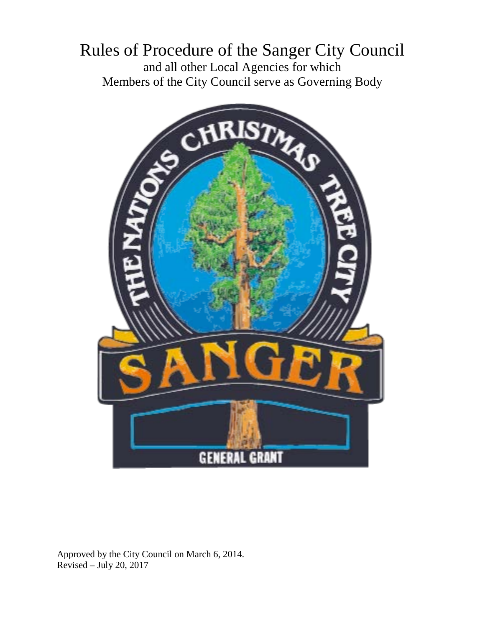## Rules of Procedure of the Sanger City Council and all other Local Agencies for which Members of the City Council serve as Governing Body



Approved by the City Council on March 6, 2014. Revised – July 20, 2017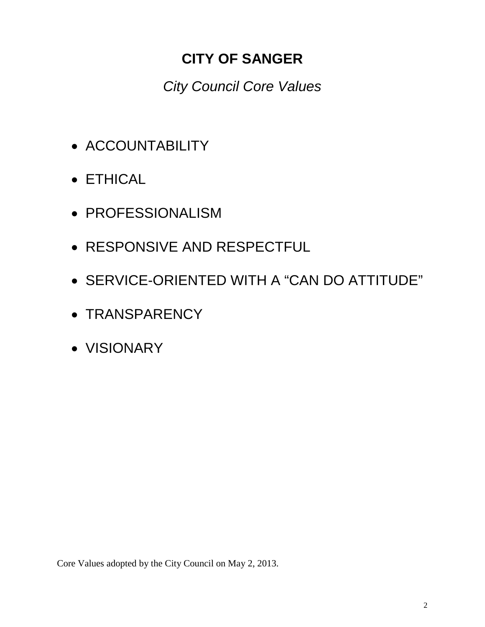## **CITY OF SANGER**

*City Council Core Values*

- ACCOUNTABILITY
- ETHICAL
- PROFESSIONALISM
- RESPONSIVE AND RESPECTFUL
- SERVICE-ORIENTED WITH A "CAN DO ATTITUDE"
- TRANSPARENCY
- VISIONARY

Core Values adopted by the City Council on May 2, 2013.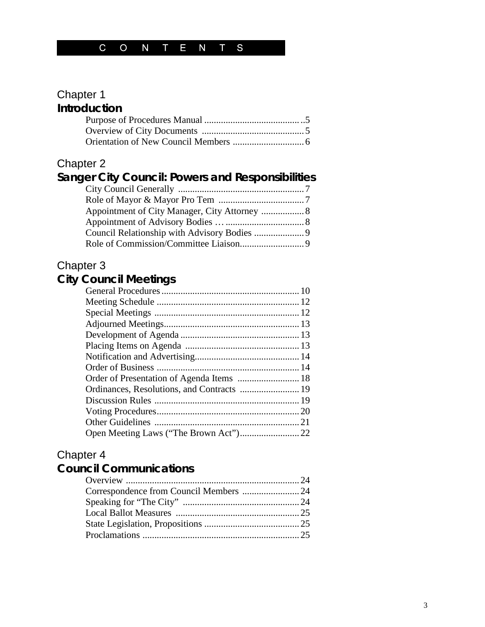## Chapter 1 **Introduction**

## Chapter 2

#### **Sanger City Council: Powers and Responsibilities** City Council Generally ..................................................... 7 Role of Mayor & Mayor Pro Tem .................................... 7 Appointment of City Manager, City Attorney .................. 8 Appointment of Advisory Bodies …................................. 8 Council Relationship with Advisory Bodies ..................... 9 Role of Commission/Committee Liaison........................... 9

## Chapter 3

## **City Council Meetings**

| Order of Presentation of Agenda Items  18 |
|-------------------------------------------|
|                                           |
|                                           |
|                                           |
|                                           |
|                                           |
|                                           |

## Chapter 4

## **Council Communications**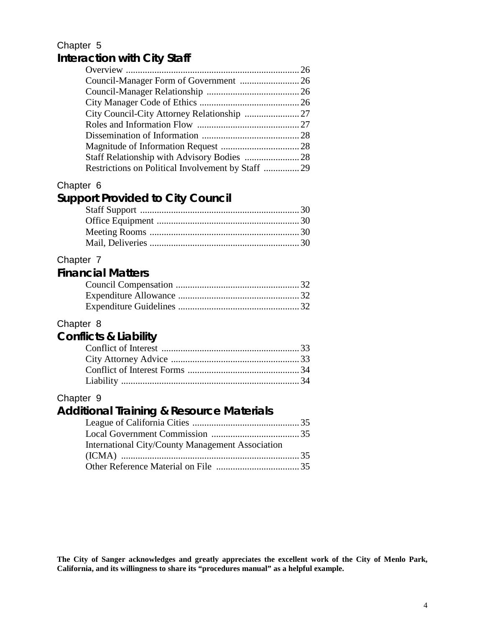## Chapter 5 **Interaction with City Staff**

| Restrictions on Political Involvement by Staff 29 |  |
|---------------------------------------------------|--|
|                                                   |  |

#### Chapter 6

## **Support Provided to City Council**

#### Chapter 7

#### **Financial Matters** Council Compensation .................................................... 32 Expenditure Allowance ................................................... 32 Expenditure Guidelines ................................................... 32

## Chapter 8

## **Conflicts & Liability**

## Chapter 9

## **Additional Training & Resource Materials**

| International City/County Management Association |  |
|--------------------------------------------------|--|
|                                                  |  |
|                                                  |  |

**The City of Sanger acknowledges and greatly appreciates the excellent work of the City of Menlo Park, California, and its willingness to share its "procedures manual" as a helpful example.**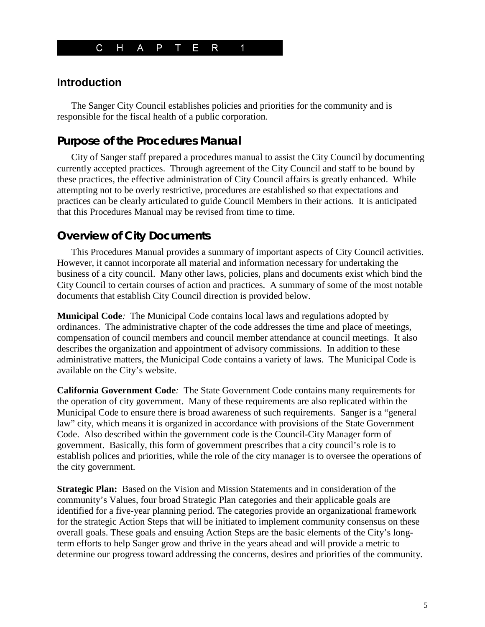

## **Introduction**

The Sanger City Council establishes policies and priorities for the community and is responsible for the fiscal health of a public corporation.

## **Purpose of the Procedures Manual**

City of Sanger staff prepared a procedures manual to assist the City Council by documenting currently accepted practices. Through agreement of the City Council and staff to be bound by these practices, the effective administration of City Council affairs is greatly enhanced. While attempting not to be overly restrictive, procedures are established so that expectations and practices can be clearly articulated to guide Council Members in their actions*.* It is anticipated that this Procedures Manual may be revised from time to time.

## **Overview of City Documents**

This Procedures Manual provides a summary of important aspects of City Council activities. However, it cannot incorporate all material and information necessary for undertaking the business of a city council. Many other laws, policies, plans and documents exist which bind the City Council to certain courses of action and practices. A summary of some of the most notable documents that establish City Council direction is provided below.

**Municipal Code***:* The Municipal Code contains local laws and regulations adopted by ordinances. The administrative chapter of the code addresses the time and place of meetings, compensation of council members and council member attendance at council meetings. It also describes the organization and appointment of advisory commissions. In addition to these administrative matters, the Municipal Code contains a variety of laws. The Municipal Code is available on the City's website.

**California Government Code***:* The State Government Code contains many requirements for the operation of city government. Many of these requirements are also replicated within the Municipal Code to ensure there is broad awareness of such requirements. Sanger is a "general law" city, which means it is organized in accordance with provisions of the State Government Code. Also described within the government code is the Council-City Manager form of government. Basically, this form of government prescribes that a city council's role is to establish polices and priorities, while the role of the city manager is to oversee the operations of the city government.

**Strategic Plan:** Based on the Vision and Mission Statements and in consideration of the community's Values, four broad Strategic Plan categories and their applicable goals are identified for a five-year planning period. The categories provide an organizational framework for the strategic Action Steps that will be initiated to implement community consensus on these overall goals. These goals and ensuing Action Steps are the basic elements of the City's longterm efforts to help Sanger grow and thrive in the years ahead and will provide a metric to determine our progress toward addressing the concerns, desires and priorities of the community.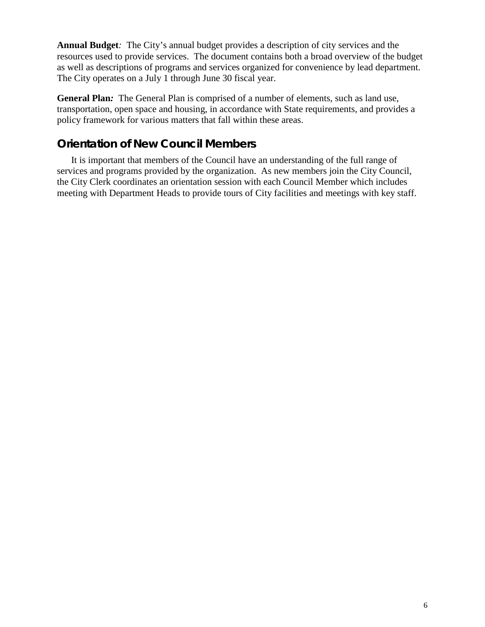**Annual Budget***:* The City's annual budget provides a description of city services and the resources used to provide services. The document contains both a broad overview of the budget as well as descriptions of programs and services organized for convenience by lead department. The City operates on a July 1 through June 30 fiscal year.

**General Plan***:* The General Plan is comprised of a number of elements, such as land use, transportation, open space and housing, in accordance with State requirements, and provides a policy framework for various matters that fall within these areas.

## **Orientation of New Council Members**

It is important that members of the Council have an understanding of the full range of services and programs provided by the organization. As new members join the City Council, the City Clerk coordinates an orientation session with each Council Member which includes meeting with Department Heads to provide tours of City facilities and meetings with key staff.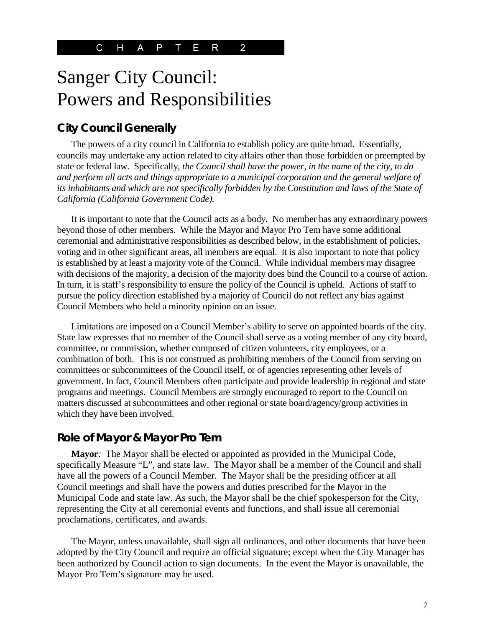# Sanger City Council: Powers and Responsibilities

## **City Council Generally**

The powers of a city council in California to establish policy are quite broad. Essentially, councils may undertake any action related to city affairs other than those forbidden or preempted by state or federal law. Specifically, *the Council shall have the power, in the name of the city, to do and perform all acts and things appropriate to a municipal corporation and the general welfare of its inhabitants and which are not specifically forbidden by the Constitution and laws of the State of California (California Government Code).*

It is important to note that the Council acts as a body. No member has any extraordinary powers beyond those of other members. While the Mayor and Mayor Pro Tem have some additional ceremonial and administrative responsibilities as described below, in the establishment of policies, voting and in other significant areas, all members are equal. It is also important to note that policy is established by at least a majority vote of the Council. While individual members may disagree with decisions of the majority, a decision of the majority does bind the Council to a course of action. In turn, it is staff's responsibility to ensure the policy of the Council is upheld. Actions of staff to pursue the policy direction established by a majority of Council do not reflect any bias against Council Members who held a minority opinion on an issue.

Limitations are imposed on a Council Member's ability to serve on appointed boards of the city. State law expresses that no member of the Council shall serve as a voting member of any city board, committee, or commission, whether composed of citizen volunteers, city employees, or a combination of both. This is not construed as prohibiting members of the Council from serving on committees or subcommittees of the Council itself, or of agencies representing other levels of government. In fact, Council Members often participate and provide leadership in regional and state programs and meetings. Council Members are strongly encouraged to report to the Council on matters discussed at subcommittees and other regional or state board/agency/group activities in which they have been involved.

### **Role of Mayor & Mayor Pro Tem**

Mayor: The Mayor shall be elected or appointed as provided in the Municipal Code, specifically Measure "L", and state law. The Mayor shall be a member of the Council and shall have all the powers of a Council Member. The Mayor shall be the presiding officer at all Council meetings and shall have the powers and duties prescribed for the Mayor in the Municipal Code and state law. As such, the Mayor shall be the chief spokesperson for the City, representing the City at all ceremonial events and functions, and shall issue all ceremonial proclamations, certificates, and awards.

The Mayor, unless unavailable, shall sign all ordinances, and other documents that have been adopted by the City Council and require an official signature; except when the City Manager has been authorized by Council action to sign documents. In the event the Mayor is unavailable, the Mayor Pro Tem's signature may be used.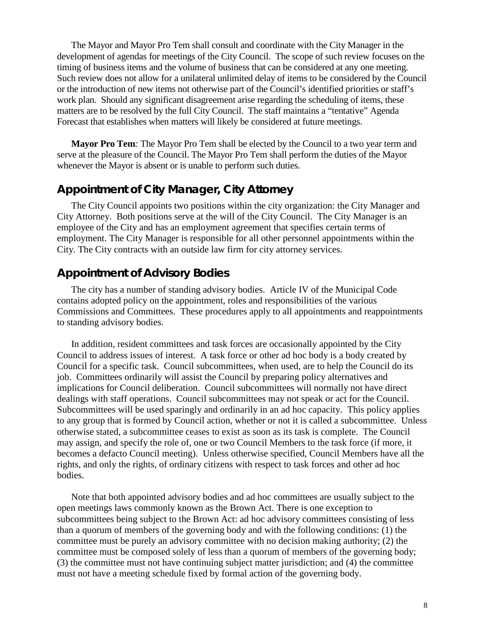The Mayor and Mayor Pro Tem shall consult and coordinate with the City Manager in the development of agendas for meetings of the City Council. The scope of such review focuses on the timing of business items and the volume of business that can be considered at any one meeting. Such review does not allow for a unilateral unlimited delay of items to be considered by the Council or the introduction of new items not otherwise part of the Council's identified priorities or staff's work plan. Should any significant disagreement arise regarding the scheduling of items, these matters are to be resolved by the full City Council. The staff maintains a "tentative" Agenda Forecast that establishes when matters will likely be considered at future meetings.

**Mayor Pro Tem***:* The Mayor Pro Tem shall be elected by the Council to a two year term and serve at the pleasure of the Council. The Mayor Pro Tem shall perform the duties of the Mayor whenever the Mayor is absent or is unable to perform such duties.

### **Appointment of City Manager, City Attorney**

The City Council appoints two positions within the city organization: the City Manager and City Attorney. Both positions serve at the will of the City Council. The City Manager is an employee of the City and has an employment agreement that specifies certain terms of employment. The City Manager is responsible for all other personnel appointments within the City. The City contracts with an outside law firm for city attorney services.

## **Appointment of Advisory Bodies**

The city has a number of standing advisory bodies. Article IV of the Municipal Code contains adopted policy on the appointment, roles and responsibilities of the various Commissions and Committees. These procedures apply to all appointments and reappointments to standing advisory bodies.

In addition, resident committees and task forces are occasionally appointed by the City Council to address issues of interest. A task force or other ad hoc body is a body created by Council for a specific task. Council subcommittees, when used, are to help the Council do its job. Committees ordinarily will assist the Council by preparing policy alternatives and implications for Council deliberation. Council subcommittees will normally not have direct dealings with staff operations. Council subcommittees may not speak or act for the Council. Subcommittees will be used sparingly and ordinarily in an ad hoc capacity. This policy applies to any group that is formed by Council action, whether or not it is called a subcommittee. Unless otherwise stated, a subcommittee ceases to exist as soon as its task is complete. The Council may assign, and specify the role of, one or two Council Members to the task force (if more, it becomes a defacto Council meeting).Unless otherwise specified, Council Members have all the rights, and only the rights, of ordinary citizens with respect to task forces and other ad hoc bodies.

Note that both appointed advisory bodies and ad hoc committees are usually subject to the open meetings laws commonly known as the Brown Act. There is one exception to subcommittees being subject to the Brown Act: ad hoc advisory committees consisting of less than a quorum of members of the governing body and with the following conditions: (1) the committee must be purely an advisory committee with no decision making authority; (2) the committee must be composed solely of less than a quorum of members of the governing body; (3) the committee must not have continuing subject matter jurisdiction; and (4) the committee must not have a meeting schedule fixed by formal action of the governing body.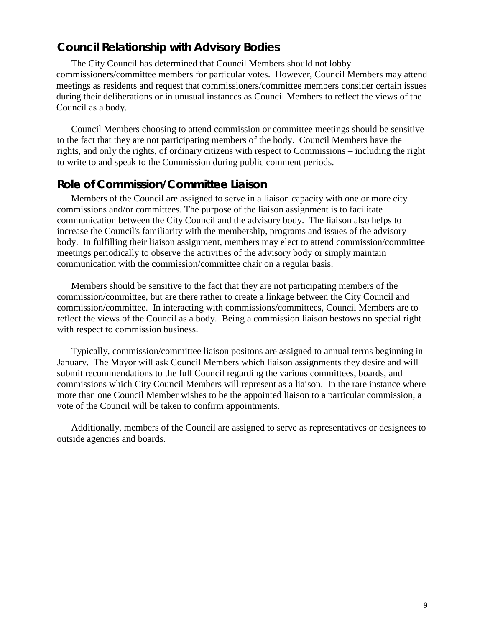## **Council Relationship with Advisory Bodies**

The City Council has determined that Council Members should not lobby commissioners/committee members for particular votes. However, Council Members may attend meetings as residents and request that commissioners/committee members consider certain issues during their deliberations or in unusual instances as Council Members to reflect the views of the Council as a body.

Council Members choosing to attend commission or committee meetings should be sensitive to the fact that they are not participating members of the body. Council Members have the rights, and only the rights, of ordinary citizens with respect to Commissions – including the right to write to and speak to the Commission during public comment periods.

#### **Role of Commission/Committee Liaison**

Members of the Council are assigned to serve in a liaison capacity with one or more city commissions and/or committees. The purpose of the liaison assignment is to facilitate communication between the City Council and the advisory body. The liaison also helps to increase the Council's familiarity with the membership, programs and issues of the advisory body. In fulfilling their liaison assignment, members may elect to attend commission/committee meetings periodically to observe the activities of the advisory body or simply maintain communication with the commission/committee chair on a regular basis.

Members should be sensitive to the fact that they are not participating members of the commission/committee, but are there rather to create a linkage between the City Council and commission/committee. In interacting with commissions/committees, Council Members are to reflect the views of the Council as a body. Being a commission liaison bestows no special right with respect to commission business.

Typically, commission/committee liaison positons are assigned to annual terms beginning in January. The Mayor will ask Council Members which liaison assignments they desire and will submit recommendations to the full Council regarding the various committees, boards, and commissions which City Council Members will represent as a liaison. In the rare instance where more than one Council Member wishes to be the appointed liaison to a particular commission, a vote of the Council will be taken to confirm appointments.

Additionally, members of the Council are assigned to serve as representatives or designees to outside agencies and boards.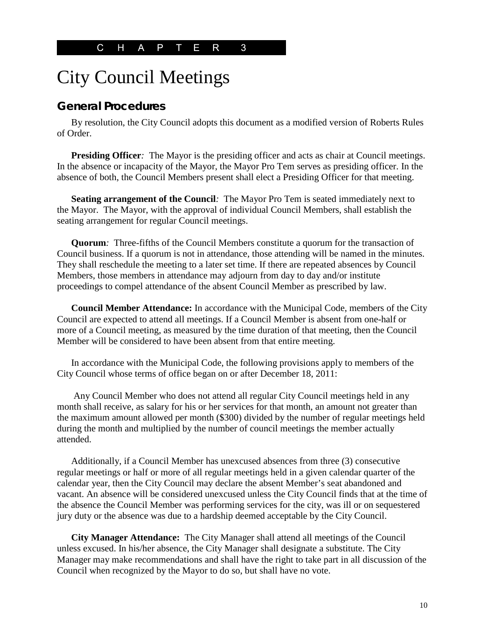# City Council Meetings

### **General Procedures**

By resolution, the City Council adopts this document as a modified version of Roberts Rules of Order.

**Presiding Officer**: The Mayor is the presiding officer and acts as chair at Council meetings. In the absence or incapacity of the Mayor, the Mayor Pro Tem serves as presiding officer. In the absence of both, the Council Members present shall elect a Presiding Officer for that meeting.

**Seating arrangement of the Council***:* The Mayor Pro Tem is seated immediately next to the Mayor. The Mayor, with the approval of individual Council Members, shall establish the seating arrangement for regular Council meetings.

**Quorum***:* Three-fifths of the Council Members constitute a quorum for the transaction of Council business. If a quorum is not in attendance, those attending will be named in the minutes. They shall reschedule the meeting to a later set time. If there are repeated absences by Council Members, those members in attendance may adjourn from day to day and/or institute proceedings to compel attendance of the absent Council Member as prescribed by law.

**Council Member Attendance:** In accordance with the Municipal Code, members of the City Council are expected to attend all meetings. If a Council Member is absent from one-half or more of a Council meeting, as measured by the time duration of that meeting, then the Council Member will be considered to have been absent from that entire meeting.

In accordance with the Municipal Code, the following provisions apply to members of the City Council whose terms of office began on or after December 18, 2011:

Any Council Member who does not attend all regular City Council meetings held in any month shall receive, as salary for his or her services for that month, an amount not greater than the maximum amount allowed per month (\$300) divided by the number of regular meetings held during the month and multiplied by the number of council meetings the member actually attended.

Additionally, if a Council Member has unexcused absences from three (3) consecutive regular meetings or half or more of all regular meetings held in a given calendar quarter of the calendar year, then the City Council may declare the absent Member's seat abandoned and vacant. An absence will be considered unexcused unless the City Council finds that at the time of the absence the Council Member was performing services for the city, was ill or on sequestered jury duty or the absence was due to a hardship deemed acceptable by the City Council.

**City Manager Attendance:** The City Manager shall attend all meetings of the Council unless excused. In his/her absence, the City Manager shall designate a substitute. The City Manager may make recommendations and shall have the right to take part in all discussion of the Council when recognized by the Mayor to do so, but shall have no vote.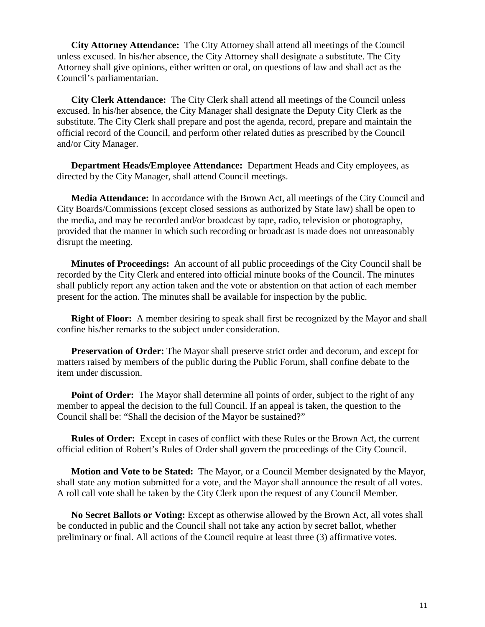**City Attorney Attendance:** The City Attorney shall attend all meetings of the Council unless excused. In his/her absence, the City Attorney shall designate a substitute. The City Attorney shall give opinions, either written or oral, on questions of law and shall act as the Council's parliamentarian.

**City Clerk Attendance:** The City Clerk shall attend all meetings of the Council unless excused. In his/her absence, the City Manager shall designate the Deputy City Clerk as the substitute. The City Clerk shall prepare and post the agenda, record, prepare and maintain the official record of the Council, and perform other related duties as prescribed by the Council and/or City Manager.

**Department Heads/Employee Attendance:** Department Heads and City employees, as directed by the City Manager, shall attend Council meetings.

**Media Attendance:** In accordance with the Brown Act, all meetings of the City Council and City Boards/Commissions (except closed sessions as authorized by State law) shall be open to the media, and may be recorded and/or broadcast by tape, radio, television or photography, provided that the manner in which such recording or broadcast is made does not unreasonably disrupt the meeting.

**Minutes of Proceedings:** An account of all public proceedings of the City Council shall be recorded by the City Clerk and entered into official minute books of the Council. The minutes shall publicly report any action taken and the vote or abstention on that action of each member present for the action. The minutes shall be available for inspection by the public.

**Right of Floor:** A member desiring to speak shall first be recognized by the Mayor and shall confine his/her remarks to the subject under consideration.

**Preservation of Order:** The Mayor shall preserve strict order and decorum, and except for matters raised by members of the public during the Public Forum, shall confine debate to the item under discussion.

**Point of Order:** The Mayor shall determine all points of order, subject to the right of any member to appeal the decision to the full Council. If an appeal is taken, the question to the Council shall be: "Shall the decision of the Mayor be sustained?"

**Rules of Order:** Except in cases of conflict with these Rules or the Brown Act, the current official edition of Robert's Rules of Order shall govern the proceedings of the City Council.

**Motion and Vote to be Stated:** The Mayor, or a Council Member designated by the Mayor, shall state any motion submitted for a vote, and the Mayor shall announce the result of all votes. A roll call vote shall be taken by the City Clerk upon the request of any Council Member.

**No Secret Ballots or Voting:** Except as otherwise allowed by the Brown Act, all votes shall be conducted in public and the Council shall not take any action by secret ballot, whether preliminary or final. All actions of the Council require at least three (3) affirmative votes.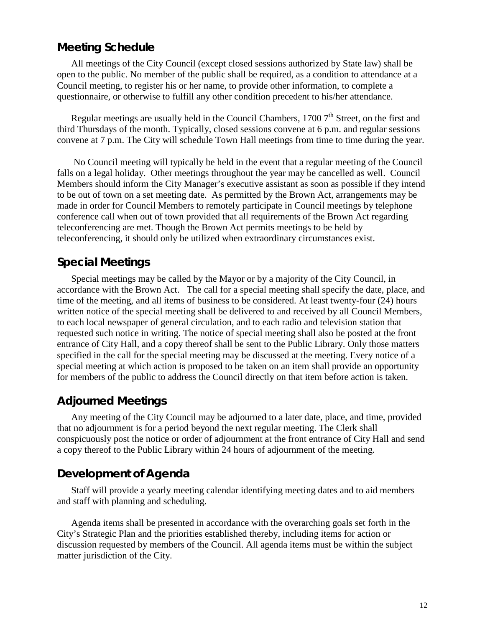### **Meeting Schedule**

All meetings of the City Council (except closed sessions authorized by State law) shall be open to the public. No member of the public shall be required, as a condition to attendance at a Council meeting, to register his or her name, to provide other information, to complete a questionnaire, or otherwise to fulfill any other condition precedent to his/her attendance.

Regular meetings are usually held in the Council Chambers,  $17007<sup>th</sup>$  Street, on the first and third Thursdays of the month. Typically, closed sessions convene at 6 p.m. and regular sessions convene at 7 p.m. The City will schedule Town Hall meetings from time to time during the year.

No Council meeting will typically be held in the event that a regular meeting of the Council falls on a legal holiday. Other meetings throughout the year may be cancelled as well. Council Members should inform the City Manager's executive assistant as soon as possible if they intend to be out of town on a set meeting date. As permitted by the Brown Act, arrangements may be made in order for Council Members to remotely participate in Council meetings by telephone conference call when out of town provided that all requirements of the Brown Act regarding teleconferencing are met. Though the Brown Act permits meetings to be held by teleconferencing, it should only be utilized when extraordinary circumstances exist.

#### **Special Meetings**

Special meetings may be called by the Mayor or by a majority of the City Council, in accordance with the Brown Act. The call for a special meeting shall specify the date, place, and time of the meeting, and all items of business to be considered. At least twenty-four (24) hours written notice of the special meeting shall be delivered to and received by all Council Members, to each local newspaper of general circulation, and to each radio and television station that requested such notice in writing. The notice of special meeting shall also be posted at the front entrance of City Hall, and a copy thereof shall be sent to the Public Library. Only those matters specified in the call for the special meeting may be discussed at the meeting. Every notice of a special meeting at which action is proposed to be taken on an item shall provide an opportunity for members of the public to address the Council directly on that item before action is taken.

#### **Adjourned Meetings**

Any meeting of the City Council may be adjourned to a later date, place, and time, provided that no adjournment is for a period beyond the next regular meeting. The Clerk shall conspicuously post the notice or order of adjournment at the front entrance of City Hall and send a copy thereof to the Public Library within 24 hours of adjournment of the meeting.

#### **Development of Agenda**

Staff will provide a yearly meeting calendar identifying meeting dates and to aid members and staff with planning and scheduling.

Agenda items shall be presented in accordance with the overarching goals set forth in the City's Strategic Plan and the priorities established thereby, including items for action or discussion requested by members of the Council. All agenda items must be within the subject matter jurisdiction of the City.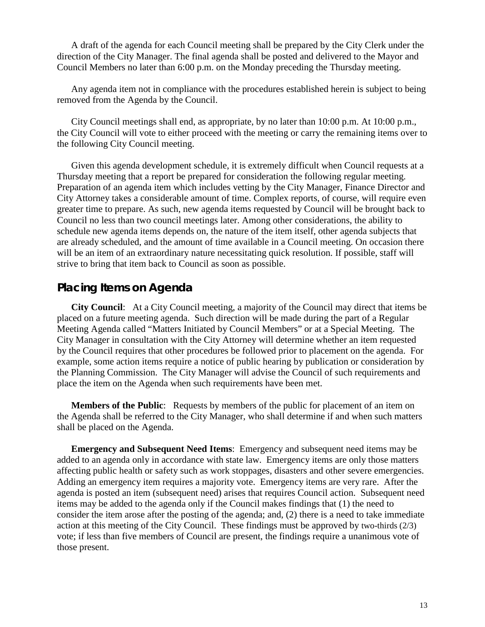A draft of the agenda for each Council meeting shall be prepared by the City Clerk under the direction of the City Manager. The final agenda shall be posted and delivered to the Mayor and Council Members no later than 6:00 p.m. on the Monday preceding the Thursday meeting.

Any agenda item not in compliance with the procedures established herein is subject to being removed from the Agenda by the Council.

City Council meetings shall end, as appropriate, by no later than 10:00 p.m. At 10:00 p.m., the City Council will vote to either proceed with the meeting or carry the remaining items over to the following City Council meeting.

Given this agenda development schedule, it is extremely difficult when Council requests at a Thursday meeting that a report be prepared for consideration the following regular meeting. Preparation of an agenda item which includes vetting by the City Manager, Finance Director and City Attorney takes a considerable amount of time. Complex reports, of course, will require even greater time to prepare. As such, new agenda items requested by Council will be brought back to Council no less than two council meetings later. Among other considerations, the ability to schedule new agenda items depends on, the nature of the item itself, other agenda subjects that are already scheduled, and the amount of time available in a Council meeting. On occasion there will be an item of an extraordinary nature necessitating quick resolution. If possible, staff will strive to bring that item back to Council as soon as possible.

#### **Placing Items on Agenda**

**City Council**: At a City Council meeting, a majority of the Council may direct that items be placed on a future meeting agenda. Such direction will be made during the part of a Regular Meeting Agenda called "Matters Initiated by Council Members" or at a Special Meeting. The City Manager in consultation with the City Attorney will determine whether an item requested by the Council requires that other procedures be followed prior to placement on the agenda. For example, some action items require a notice of public hearing by publication or consideration by the Planning Commission. The City Manager will advise the Council of such requirements and place the item on the Agenda when such requirements have been met.

**Members of the Public:** Requests by members of the public for placement of an item on the Agenda shall be referred to the City Manager, who shall determine if and when such matters shall be placed on the Agenda.

**Emergency and Subsequent Need Items**: Emergency and subsequent need items may be added to an agenda only in accordance with state law. Emergency items are only those matters affecting public health or safety such as work stoppages, disasters and other severe emergencies. Adding an emergency item requires a majority vote. Emergency items are very rare. After the agenda is posted an item (subsequent need) arises that requires Council action. Subsequent need items may be added to the agenda only if the Council makes findings that (1) the need to consider the item arose after the posting of the agenda; and, (2) there is a need to take immediate action at this meeting of the City Council. These findings must be approved by two-thirds (2/3) vote; if less than five members of Council are present, the findings require a unanimous vote of those present.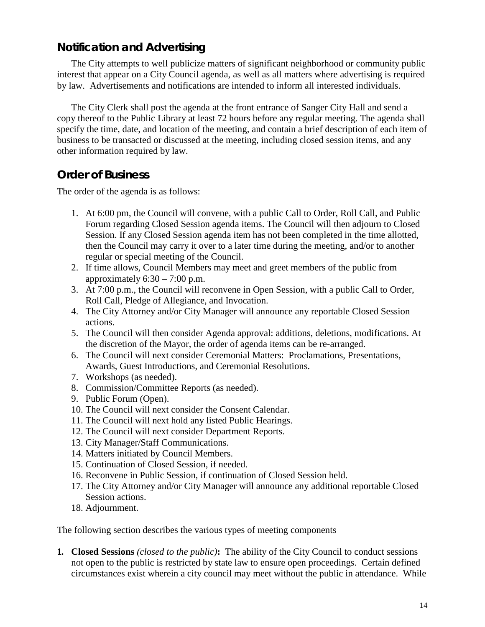## **Notification and Advertising**

The City attempts to well publicize matters of significant neighborhood or community public interest that appear on a City Council agenda, as well as all matters where advertising is required by law. Advertisements and notifications are intended to inform all interested individuals.

The City Clerk shall post the agenda at the front entrance of Sanger City Hall and send a copy thereof to the Public Library at least 72 hours before any regular meeting. The agenda shall specify the time, date, and location of the meeting, and contain a brief description of each item of business to be transacted or discussed at the meeting, including closed session items, and any other information required by law.

## **Order of Business**

The order of the agenda is as follows:

- 1. At 6:00 pm, the Council will convene, with a public Call to Order, Roll Call, and Public Forum regarding Closed Session agenda items. The Council will then adjourn to Closed Session. If any Closed Session agenda item has not been completed in the time allotted, then the Council may carry it over to a later time during the meeting, and/or to another regular or special meeting of the Council.
- 2. If time allows, Council Members may meet and greet members of the public from approximately  $6:30 - 7:00$  p.m.
- 3. At 7:00 p.m., the Council will reconvene in Open Session, with a public Call to Order, Roll Call, Pledge of Allegiance, and Invocation.
- 4. The City Attorney and/or City Manager will announce any reportable Closed Session actions.
- 5. The Council will then consider Agenda approval: additions, deletions, modifications. At the discretion of the Mayor, the order of agenda items can be re-arranged.
- 6. The Council will next consider Ceremonial Matters: Proclamations, Presentations, Awards, Guest Introductions, and Ceremonial Resolutions.
- 7. Workshops (as needed).
- 8. Commission/Committee Reports (as needed).
- 9. Public Forum (Open).
- 10. The Council will next consider the Consent Calendar.
- 11. The Council will next hold any listed Public Hearings.
- 12. The Council will next consider Department Reports.
- 13. City Manager/Staff Communications.
- 14. Matters initiated by Council Members.
- 15. Continuation of Closed Session, if needed.
- 16. Reconvene in Public Session, if continuation of Closed Session held.
- 17. The City Attorney and/or City Manager will announce any additional reportable Closed Session actions.
- 18. Adjournment.

The following section describes the various types of meeting components

**1***.* **Closed Sessions** *(closed to the public)***:** The ability of the City Council to conduct sessions not open to the public is restricted by state law to ensure open proceedings. Certain defined circumstances exist wherein a city council may meet without the public in attendance. While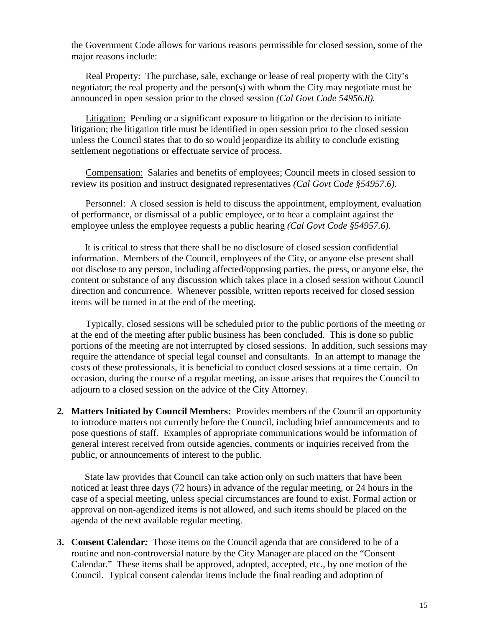the Government Code allows for various reasons permissible for closed session, some of the major reasons include:

Real Property: The purchase, sale, exchange or lease of real property with the City's negotiator; the real property and the person(s) with whom the City may negotiate must be announced in open session prior to the closed session *(Cal Govt Code 54956.8).*

Litigation: Pending or a significant exposure to litigation or the decision to initiate litigation; the litigation title must be identified in open session prior to the closed session unless the Council states that to do so would jeopardize its ability to conclude existing settlement negotiations or effectuate service of process.

Compensation: Salaries and benefits of employees; Council meets in closed session to review its position and instruct designated representatives *(Cal Govt Code §54957.6).*

Personnel: A closed session is held to discuss the appointment, employment, evaluation of performance, or dismissal of a public employee, or to hear a complaint against the employee unless the employee requests a public hearing *(Cal Govt Code §54957.6).*

It is critical to stress that there shall be no disclosure of closed session confidential information. Members of the Council, employees of the City, or anyone else present shall not disclose to any person, including affected/opposing parties, the press, or anyone else, the content or substance of any discussion which takes place in a closed session without Council direction and concurrence. Whenever possible, written reports received for closed session items will be turned in at the end of the meeting.

Typically, closed sessions will be scheduled prior to the public portions of the meeting or at the end of the meeting after public business has been concluded. This is done so public portions of the meeting are not interrupted by closed sessions. In addition, such sessions may require the attendance of special legal counsel and consultants. In an attempt to manage the costs of these professionals, it is beneficial to conduct closed sessions at a time certain. On occasion, during the course of a regular meeting, an issue arises that requires the Council to adjourn to a closed session on the advice of the City Attorney.

**2***.* **Matters Initiated by Council Members:** Provides members of the Council an opportunity to introduce matters not currently before the Council, including brief announcements and to pose questions of staff. Examples of appropriate communications would be information of general interest received from outside agencies, comments or inquiries received from the public, or announcements of interest to the public.

State law provides that Council can take action only on such matters that have been noticed at least three days (72 hours) in advance of the regular meeting, or 24 hours in the case of a special meeting, unless special circumstances are found to exist. Formal action or approval on non-agendized items is not allowed, and such items should be placed on the agenda of the next available regular meeting.

**3. Consent Calendar***:*Those items on the Council agenda that are considered to be of a routine and non-controversial nature by the City Manager are placed on the "Consent Calendar." These items shall be approved, adopted, accepted, etc., by one motion of the Council. Typical consent calendar items include the final reading and adoption of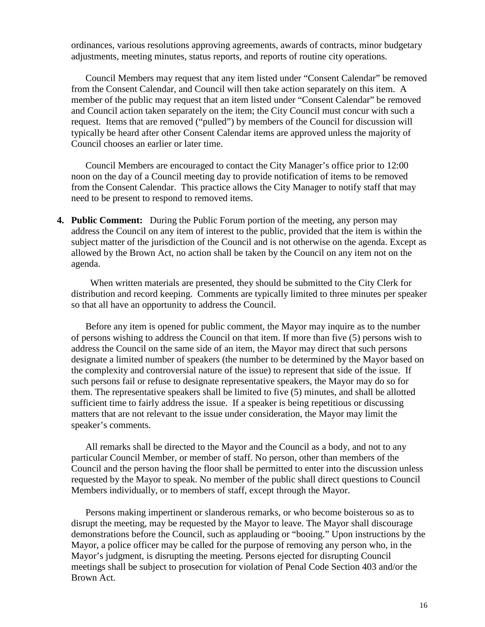ordinances, various resolutions approving agreements, awards of contracts, minor budgetary adjustments, meeting minutes, status reports, and reports of routine city operations.

Council Members may request that any item listed under "Consent Calendar" be removed from the Consent Calendar, and Council will then take action separately on this item. A member of the public may request that an item listed under "Consent Calendar" be removed and Council action taken separately on the item; the City Council must concur with such a request. Items that are removed ("pulled") by members of the Council for discussion will typically be heard after other Consent Calendar items are approved unless the majority of Council chooses an earlier or later time.

Council Members are encouraged to contact the City Manager's office prior to 12:00 noon on the day of a Council meeting day to provide notification of items to be removed from the Consent Calendar. This practice allows the City Manager to notify staff that may need to be present to respond to removed items.

**4. Public Comment:** During the Public Forum portion of the meeting, any person may address the Council on any item of interest to the public, provided that the item is within the subject matter of the jurisdiction of the Council and is not otherwise on the agenda. Except as allowed by the Brown Act, no action shall be taken by the Council on any item not on the agenda.

 When written materials are presented, they should be submitted to the City Clerk for distribution and record keeping. Comments are typically limited to three minutes per speaker so that all have an opportunity to address the Council.

Before any item is opened for public comment, the Mayor may inquire as to the number of persons wishing to address the Council on that item. If more than five (5) persons wish to address the Council on the same side of an item, the Mayor may direct that such persons designate a limited number of speakers (the number to be determined by the Mayor based on the complexity and controversial nature of the issue) to represent that side of the issue. If such persons fail or refuse to designate representative speakers, the Mayor may do so for them. The representative speakers shall be limited to five (5) minutes, and shall be allotted sufficient time to fairly address the issue. If a speaker is being repetitious or discussing matters that are not relevant to the issue under consideration, the Mayor may limit the speaker's comments.

All remarks shall be directed to the Mayor and the Council as a body, and not to any particular Council Member, or member of staff. No person, other than members of the Council and the person having the floor shall be permitted to enter into the discussion unless requested by the Mayor to speak. No member of the public shall direct questions to Council Members individually, or to members of staff, except through the Mayor.

Persons making impertinent or slanderous remarks, or who become boisterous so as to disrupt the meeting, may be requested by the Mayor to leave. The Mayor shall discourage demonstrations before the Council, such as applauding or "booing." Upon instructions by the Mayor, a police officer may be called for the purpose of removing any person who, in the Mayor's judgment, is disrupting the meeting. Persons ejected for disrupting Council meetings shall be subject to prosecution for violation of Penal Code Section 403 and/or the Brown Act.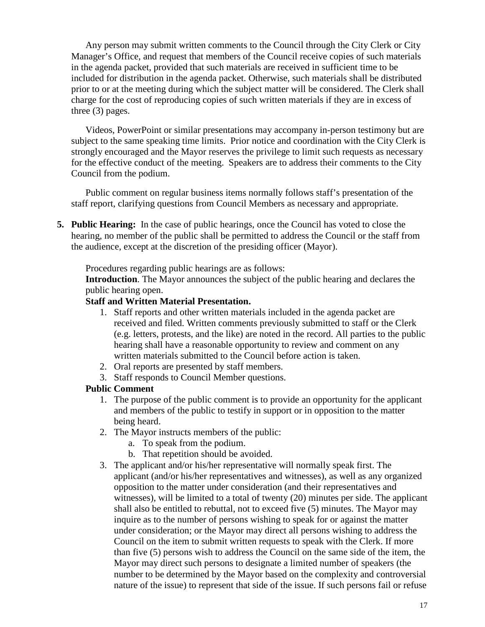Any person may submit written comments to the Council through the City Clerk or City Manager's Office, and request that members of the Council receive copies of such materials in the agenda packet, provided that such materials are received in sufficient time to be included for distribution in the agenda packet. Otherwise, such materials shall be distributed prior to or at the meeting during which the subject matter will be considered. The Clerk shall charge for the cost of reproducing copies of such written materials if they are in excess of three (3) pages.

Videos, PowerPoint or similar presentations may accompany in-person testimony but are subject to the same speaking time limits. Prior notice and coordination with the City Clerk is strongly encouraged and the Mayor reserves the privilege to limit such requests as necessary for the effective conduct of the meeting. Speakers are to address their comments to the City Council from the podium.

Public comment on regular business items normally follows staff's presentation of the staff report, clarifying questions from Council Members as necessary and appropriate.

**5. Public Hearing:** In the case of public hearings, once the Council has voted to close the hearing, no member of the public shall be permitted to address the Council or the staff from the audience, except at the discretion of the presiding officer (Mayor).

Procedures regarding public hearings are as follows:

**Introduction**. The Mayor announces the subject of the public hearing and declares the public hearing open.

#### **Staff and Written Material Presentation.**

- 1. Staff reports and other written materials included in the agenda packet are received and filed. Written comments previously submitted to staff or the Clerk (e.g. letters, protests, and the like) are noted in the record. All parties to the public hearing shall have a reasonable opportunity to review and comment on any written materials submitted to the Council before action is taken.
- 2. Oral reports are presented by staff members.
- 3. Staff responds to Council Member questions.

#### **Public Comment**

- 1. The purpose of the public comment is to provide an opportunity for the applicant and members of the public to testify in support or in opposition to the matter being heard.
- 2. The Mayor instructs members of the public:
	- a. To speak from the podium.
	- b. That repetition should be avoided.
- 3. The applicant and/or his/her representative will normally speak first. The applicant (and/or his/her representatives and witnesses), as well as any organized opposition to the matter under consideration (and their representatives and witnesses), will be limited to a total of twenty (20) minutes per side. The applicant shall also be entitled to rebuttal, not to exceed five (5) minutes. The Mayor may inquire as to the number of persons wishing to speak for or against the matter under consideration; or the Mayor may direct all persons wishing to address the Council on the item to submit written requests to speak with the Clerk. If more than five (5) persons wish to address the Council on the same side of the item, the Mayor may direct such persons to designate a limited number of speakers (the number to be determined by the Mayor based on the complexity and controversial nature of the issue) to represent that side of the issue. If such persons fail or refuse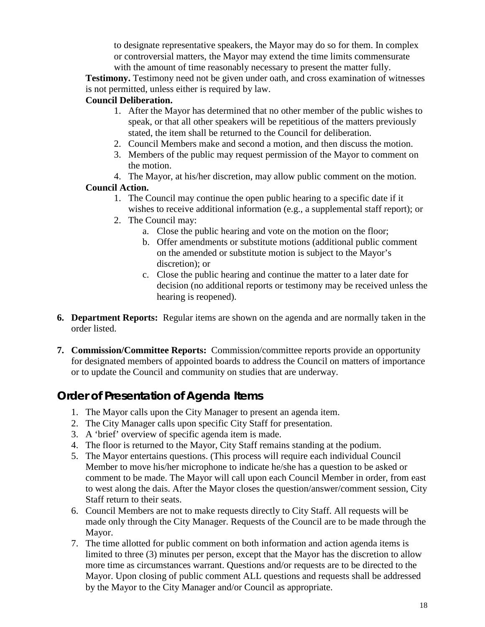to designate representative speakers, the Mayor may do so for them. In complex or controversial matters, the Mayor may extend the time limits commensurate with the amount of time reasonably necessary to present the matter fully.

**Testimony.** Testimony need not be given under oath, and cross examination of witnesses is not permitted, unless either is required by law.

#### **Council Deliberation.**

- 1. After the Mayor has determined that no other member of the public wishes to speak, or that all other speakers will be repetitious of the matters previously stated, the item shall be returned to the Council for deliberation.
- 2. Council Members make and second a motion, and then discuss the motion.
- 3. Members of the public may request permission of the Mayor to comment on the motion.
- 4. The Mayor, at his/her discretion, may allow public comment on the motion.

### **Council Action.**

- 1. The Council may continue the open public hearing to a specific date if it wishes to receive additional information (e.g., a supplemental staff report); or
- 2. The Council may:
	- a. Close the public hearing and vote on the motion on the floor;
	- b. Offer amendments or substitute motions (additional public comment on the amended or substitute motion is subject to the Mayor's discretion); or
	- c. Close the public hearing and continue the matter to a later date for decision (no additional reports or testimony may be received unless the hearing is reopened).
- **6. Department Reports:** Regular items are shown on the agenda and are normally taken in the order listed.
- **7. Commission/Committee Reports:** Commission/committee reports provide an opportunity for designated members of appointed boards to address the Council on matters of importance or to update the Council and community on studies that are underway.

## **Order of Presentation of Agenda Items**

- 1. The Mayor calls upon the City Manager to present an agenda item.
- 2. The City Manager calls upon specific City Staff for presentation.
- 3. A 'brief' overview of specific agenda item is made.
- 4. The floor is returned to the Mayor, City Staff remains standing at the podium.
- 5. The Mayor entertains questions. (This process will require each individual Council Member to move his/her microphone to indicate he/she has a question to be asked or comment to be made. The Mayor will call upon each Council Member in order, from east to west along the dais. After the Mayor closes the question/answer/comment session, City Staff return to their seats.
- 6. Council Members are not to make requests directly to City Staff. All requests will be made only through the City Manager. Requests of the Council are to be made through the Mayor.
- 7. The time allotted for public comment on both information and action agenda items is limited to three (3) minutes per person, except that the Mayor has the discretion to allow more time as circumstances warrant. Questions and/or requests are to be directed to the Mayor. Upon closing of public comment ALL questions and requests shall be addressed by the Mayor to the City Manager and/or Council as appropriate.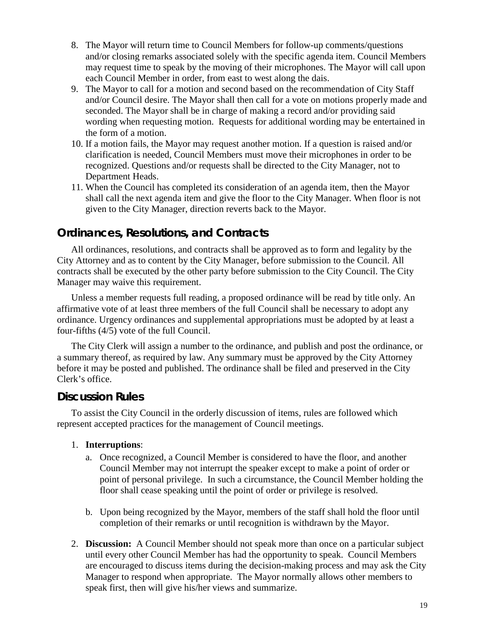- 8. The Mayor will return time to Council Members for follow-up comments/questions and/or closing remarks associated solely with the specific agenda item. Council Members may request time to speak by the moving of their microphones. The Mayor will call upon each Council Member in order, from east to west along the dais.
- 9. The Mayor to call for a motion and second based on the recommendation of City Staff and/or Council desire. The Mayor shall then call for a vote on motions properly made and seconded. The Mayor shall be in charge of making a record and/or providing said wording when requesting motion. Requests for additional wording may be entertained in the form of a motion.
- 10. If a motion fails, the Mayor may request another motion. If a question is raised and/or clarification is needed, Council Members must move their microphones in order to be recognized. Questions and/or requests shall be directed to the City Manager, not to Department Heads.
- 11. When the Council has completed its consideration of an agenda item, then the Mayor shall call the next agenda item and give the floor to the City Manager. When floor is not given to the City Manager, direction reverts back to the Mayor.

## **Ordinances, Resolutions, and Contracts**

All ordinances, resolutions, and contracts shall be approved as to form and legality by the City Attorney and as to content by the City Manager, before submission to the Council. All contracts shall be executed by the other party before submission to the City Council. The City Manager may waive this requirement.

Unless a member requests full reading, a proposed ordinance will be read by title only. An affirmative vote of at least three members of the full Council shall be necessary to adopt any ordinance. Urgency ordinances and supplemental appropriations must be adopted by at least a four-fifths (4/5) vote of the full Council.

The City Clerk will assign a number to the ordinance, and publish and post the ordinance, or a summary thereof, as required by law. Any summary must be approved by the City Attorney before it may be posted and published. The ordinance shall be filed and preserved in the City Clerk's office.

### **Discussion Rules**

To assist the City Council in the orderly discussion of items, rules are followed which represent accepted practices for the management of Council meetings.

- 1. **Interruptions**:
	- a. Once recognized, a Council Member is considered to have the floor, and another Council Member may not interrupt the speaker except to make a point of order or point of personal privilege. In such a circumstance, the Council Member holding the floor shall cease speaking until the point of order or privilege is resolved.
	- b. Upon being recognized by the Mayor, members of the staff shall hold the floor until completion of their remarks or until recognition is withdrawn by the Mayor.
- 2. **Discussion:** A Council Member should not speak more than once on a particular subject until every other Council Member has had the opportunity to speak. Council Members are encouraged to discuss items during the decision-making process and may ask the City Manager to respond when appropriate. The Mayor normally allows other members to speak first, then will give his/her views and summarize.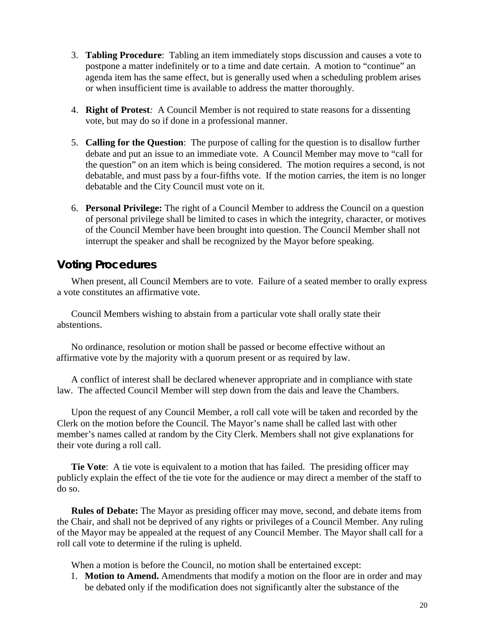- 3. **Tabling Procedure**: Tabling an item immediately stops discussion and causes a vote to postpone a matter indefinitely or to a time and date certain. A motion to "continue" an agenda item has the same effect, but is generally used when a scheduling problem arises or when insufficient time is available to address the matter thoroughly.
- 4. **Right of Protest***:* A Council Member is not required to state reasons for a dissenting vote, but may do so if done in a professional manner.
- 5. **Calling for the Question**: The purpose of calling for the question is to disallow further debate and put an issue to an immediate vote. A Council Member may move to "call for the question" on an item which is being considered. The motion requires a second, is not debatable, and must pass by a four-fifths vote. If the motion carries, the item is no longer debatable and the City Council must vote on it.
- 6. **Personal Privilege:** The right of a Council Member to address the Council on a question of personal privilege shall be limited to cases in which the integrity, character, or motives of the Council Member have been brought into question. The Council Member shall not interrupt the speaker and shall be recognized by the Mayor before speaking.

## **Voting Procedures**

When present, all Council Members are to vote. Failure of a seated member to orally express a vote constitutes an affirmative vote.

Council Members wishing to abstain from a particular vote shall orally state their abstentions.

No ordinance, resolution or motion shall be passed or become effective without an affirmative vote by the majority with a quorum present or as required by law.

A conflict of interest shall be declared whenever appropriate and in compliance with state law. The affected Council Member will step down from the dais and leave the Chambers.

Upon the request of any Council Member, a roll call vote will be taken and recorded by the Clerk on the motion before the Council. The Mayor's name shall be called last with other member's names called at random by the City Clerk. Members shall not give explanations for their vote during a roll call.

**Tie Vote**: A tie vote is equivalent to a motion that has failed. The presiding officer may publicly explain the effect of the tie vote for the audience or may direct a member of the staff to do so.

**Rules of Debate:** The Mayor as presiding officer may move, second, and debate items from the Chair, and shall not be deprived of any rights or privileges of a Council Member. Any ruling of the Mayor may be appealed at the request of any Council Member. The Mayor shall call for a roll call vote to determine if the ruling is upheld.

When a motion is before the Council, no motion shall be entertained except:

1. **Motion to Amend.** Amendments that modify a motion on the floor are in order and may be debated only if the modification does not significantly alter the substance of the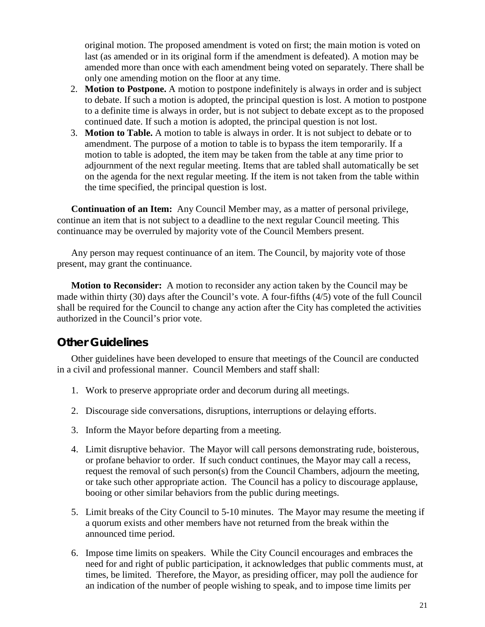original motion. The proposed amendment is voted on first; the main motion is voted on last (as amended or in its original form if the amendment is defeated). A motion may be amended more than once with each amendment being voted on separately. There shall be only one amending motion on the floor at any time.

- 2. **Motion to Postpone.** A motion to postpone indefinitely is always in order and is subject to debate. If such a motion is adopted, the principal question is lost. A motion to postpone to a definite time is always in order, but is not subject to debate except as to the proposed continued date. If such a motion is adopted, the principal question is not lost.
- 3. **Motion to Table.** A motion to table is always in order. It is not subject to debate or to amendment. The purpose of a motion to table is to bypass the item temporarily. If a motion to table is adopted, the item may be taken from the table at any time prior to adjournment of the next regular meeting. Items that are tabled shall automatically be set on the agenda for the next regular meeting. If the item is not taken from the table within the time specified, the principal question is lost.

**Continuation of an Item:** Any Council Member may, as a matter of personal privilege, continue an item that is not subject to a deadline to the next regular Council meeting. This continuance may be overruled by majority vote of the Council Members present.

Any person may request continuance of an item. The Council, by majority vote of those present, may grant the continuance.

**Motion to Reconsider:** A motion to reconsider any action taken by the Council may be made within thirty (30) days after the Council's vote. A four-fifths (4/5) vote of the full Council shall be required for the Council to change any action after the City has completed the activities authorized in the Council's prior vote.

## **Other Guidelines**

Other guidelines have been developed to ensure that meetings of the Council are conducted in a civil and professional manner. Council Members and staff shall:

- 1. Work to preserve appropriate order and decorum during all meetings.
- 2. Discourage side conversations, disruptions, interruptions or delaying efforts.
- 3. Inform the Mayor before departing from a meeting.
- 4. Limit disruptive behavior. The Mayor will call persons demonstrating rude, boisterous, or profane behavior to order. If such conduct continues, the Mayor may call a recess, request the removal of such person(s) from the Council Chambers, adjourn the meeting, or take such other appropriate action. The Council has a policy to discourage applause, booing or other similar behaviors from the public during meetings.
- 5. Limit breaks of the City Council to 5-10 minutes. The Mayor may resume the meeting if a quorum exists and other members have not returned from the break within the announced time period.
- 6. Impose time limits on speakers. While the City Council encourages and embraces the need for and right of public participation, it acknowledges that public comments must, at times, be limited. Therefore, the Mayor, as presiding officer, may poll the audience for an indication of the number of people wishing to speak, and to impose time limits per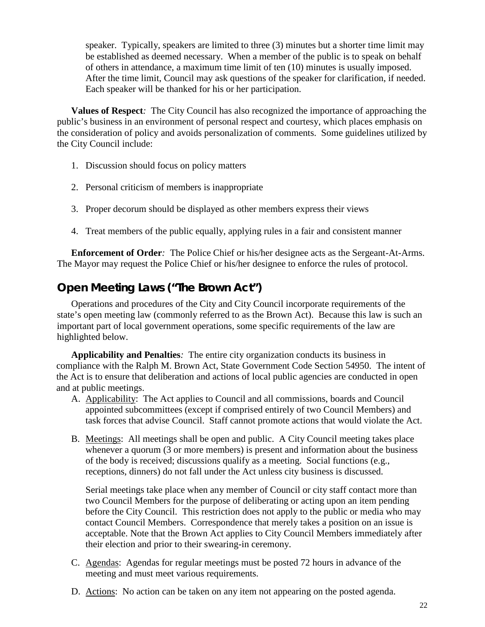speaker. Typically, speakers are limited to three (3) minutes but a shorter time limit may be established as deemed necessary. When a member of the public is to speak on behalf of others in attendance, a maximum time limit of ten (10) minutes is usually imposed. After the time limit, Council may ask questions of the speaker for clarification, if needed. Each speaker will be thanked for his or her participation.

**Values of Respect***:* The City Council has also recognized the importance of approaching the public's business in an environment of personal respect and courtesy, which places emphasis on the consideration of policy and avoids personalization of comments. Some guidelines utilized by the City Council include:

- 1. Discussion should focus on policy matters
- 2. Personal criticism of members is inappropriate
- 3. Proper decorum should be displayed as other members express their views
- 4. Treat members of the public equally, applying rules in a fair and consistent manner

**Enforcement of Order***:*The Police Chief or his/her designee acts as the Sergeant-At-Arms. The Mayor may request the Police Chief or his/her designee to enforce the rules of protocol.

## **Open Meeting Laws ("The Brown Act")**

Operations and procedures of the City and City Council incorporate requirements of the state's open meeting law (commonly referred to as the Brown Act). Because this law is such an important part of local government operations, some specific requirements of the law are highlighted below.

**Applicability and Penalties***:*The entire city organization conducts its business in compliance with the Ralph M. Brown Act, State Government Code Section 54950. The intent of the Act is to ensure that deliberation and actions of local public agencies are conducted in open and at public meetings.

- A. Applicability: The Act applies to Council and all commissions, boards and Council appointed subcommittees (except if comprised entirely of two Council Members) and task forces that advise Council. Staff cannot promote actions that would violate the Act.
- B. Meetings: All meetings shall be open and public. A City Council meeting takes place whenever a quorum (3 or more members) is present and information about the business of the body is received; discussions qualify as a meeting. Social functions (e.g., receptions, dinners) do not fall under the Act unless city business is discussed.

Serial meetings take place when any member of Council or city staff contact more than two Council Members for the purpose of deliberating or acting upon an item pending before the City Council. This restriction does not apply to the public or media who may contact Council Members. Correspondence that merely takes a position on an issue is acceptable. Note that the Brown Act applies to City Council Members immediately after their election and prior to their swearing-in ceremony.

- C. Agendas:Agendas for regular meetings must be posted 72 hours in advance of the meeting and must meet various requirements.
- D. Actions: No action can be taken on any item not appearing on the posted agenda.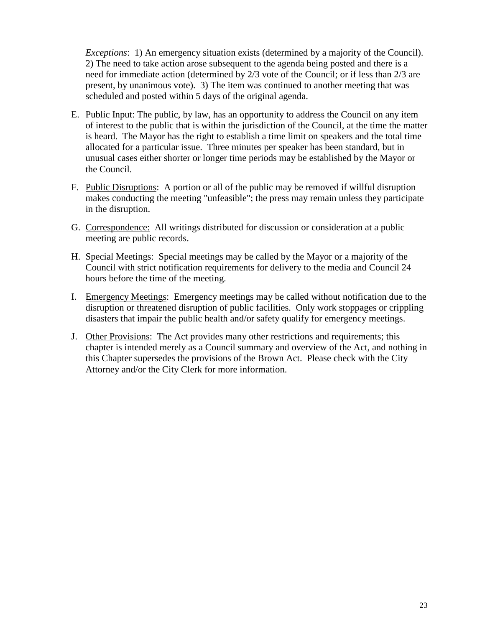*Exceptions*: 1) An emergency situation exists (determined by a majority of the Council). 2) The need to take action arose subsequent to the agenda being posted and there is a need for immediate action (determined by 2/3 vote of the Council; or if less than 2/3 are present, by unanimous vote). 3) The item was continued to another meeting that was scheduled and posted within 5 days of the original agenda.

- E. Public Input: The public, by law, has an opportunity to address the Council on any item of interest to the public that is within the jurisdiction of the Council, at the time the matter is heard.The Mayor has the right to establish a time limit on speakers and the total time allocated for a particular issue. Three minutes per speaker has been standard, but in unusual cases either shorter or longer time periods may be established by the Mayor or the Council.
- F. Public Disruptions: A portion or all of the public may be removed if willful disruption makes conducting the meeting "unfeasible"; the press may remain unless they participate in the disruption.
- G. Correspondence: All writings distributed for discussion or consideration at a public meeting are public records.
- H. Special Meetings: Special meetings may be called by the Mayor or a majority of the Council with strict notification requirements for delivery to the media and Council 24 hours before the time of the meeting.
- I. Emergency Meetings: Emergency meetings may be called without notification due to the disruption or threatened disruption of public facilities. Only work stoppages or crippling disasters that impair the public health and/or safety qualify for emergency meetings.
- J. Other Provisions: The Act provides many other restrictions and requirements; this chapter is intended merely as a Council summary and overview of the Act, and nothing in this Chapter supersedes the provisions of the Brown Act. Please check with the City Attorney and/or the City Clerk for more information.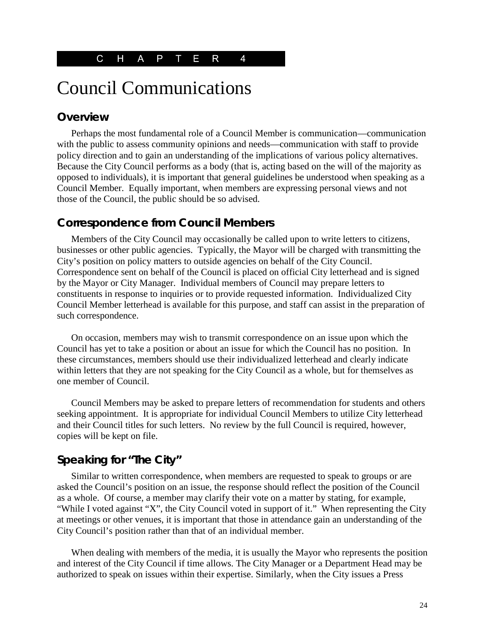# Council Communications

## **Overview**

Perhaps the most fundamental role of a Council Member is communication—communication with the public to assess community opinions and needs—communication with staff to provide policy direction and to gain an understanding of the implications of various policy alternatives. Because the City Council performs as a body (that is, acting based on the will of the majority as opposed to individuals), it is important that general guidelines be understood when speaking as a Council Member. Equally important, when members are expressing personal views and not those of the Council, the public should be so advised.

### **Correspondence from Council Members**

Members of the City Council may occasionally be called upon to write letters to citizens, businesses or other public agencies. Typically, the Mayor will be charged with transmitting the City's position on policy matters to outside agencies on behalf of the City Council. Correspondence sent on behalf of the Council is placed on official City letterhead and is signed by the Mayor or City Manager. Individual members of Council may prepare letters to constituents in response to inquiries or to provide requested information. Individualized City Council Member letterhead is available for this purpose, and staff can assist in the preparation of such correspondence.

On occasion, members may wish to transmit correspondence on an issue upon which the Council has yet to take a position or about an issue for which the Council has no position. In these circumstances, members should use their individualized letterhead and clearly indicate within letters that they are not speaking for the City Council as a whole, but for themselves as one member of Council.

Council Members may be asked to prepare letters of recommendation for students and others seeking appointment. It is appropriate for individual Council Members to utilize City letterhead and their Council titles for such letters. No review by the full Council is required, however, copies will be kept on file.

## **Speaking for "The City"**

Similar to written correspondence, when members are requested to speak to groups or are asked the Council's position on an issue, the response should reflect the position of the Council as a whole. Of course, a member may clarify their vote on a matter by stating, for example, "While I voted against "X", the City Council voted in support of it." When representing the City at meetings or other venues, it is important that those in attendance gain an understanding of the City Council's position rather than that of an individual member.

When dealing with members of the media, it is usually the Mayor who represents the position and interest of the City Council if time allows. The City Manager or a Department Head may be authorized to speak on issues within their expertise. Similarly, when the City issues a Press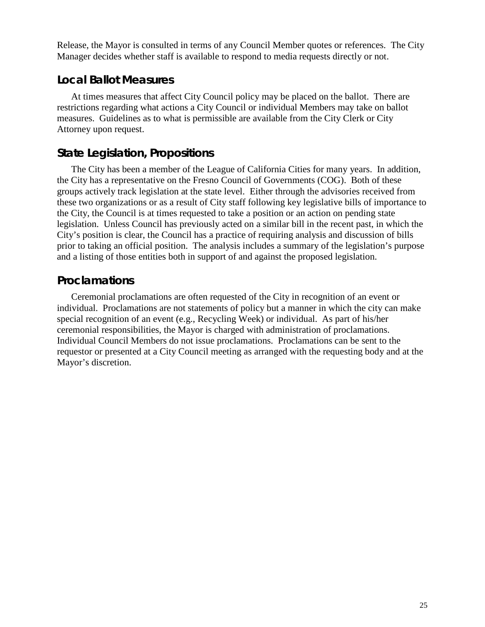Release, the Mayor is consulted in terms of any Council Member quotes or references. The City Manager decides whether staff is available to respond to media requests directly or not.

### **Local Ballot Measures**

At times measures that affect City Council policy may be placed on the ballot. There are restrictions regarding what actions a City Council or individual Members may take on ballot measures. Guidelines as to what is permissible are available from the City Clerk or City Attorney upon request.

## **State Legislation, Propositions**

The City has been a member of the League of California Cities for many years. In addition, the City has a representative on the Fresno Council of Governments (COG). Both of these groups actively track legislation at the state level. Either through the advisories received from these two organizations or as a result of City staff following key legislative bills of importance to the City, the Council is at times requested to take a position or an action on pending state legislation. Unless Council has previously acted on a similar bill in the recent past, in which the City's position is clear, the Council has a practice of requiring analysis and discussion of bills prior to taking an official position. The analysis includes a summary of the legislation's purpose and a listing of those entities both in support of and against the proposed legislation.

### **Proclamations**

Ceremonial proclamations are often requested of the City in recognition of an event or individual. Proclamations are not statements of policy but a manner in which the city can make special recognition of an event (e.g., Recycling Week) or individual. As part of his/her ceremonial responsibilities, the Mayor is charged with administration of proclamations. Individual Council Members do not issue proclamations. Proclamations can be sent to the requestor or presented at a City Council meeting as arranged with the requesting body and at the Mayor's discretion.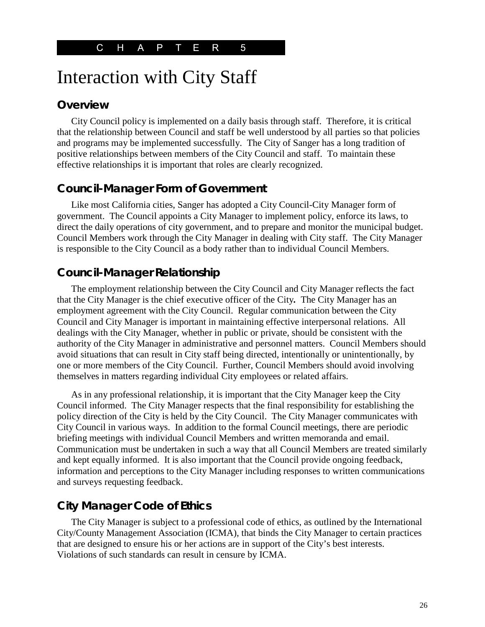# Interaction with City Staff

#### **Overview**

City Council policy is implemented on a daily basis through staff. Therefore, it is critical that the relationship between Council and staff be well understood by all parties so that policies and programs may be implemented successfully. The City of Sanger has a long tradition of positive relationships between members of the City Council and staff. To maintain these effective relationships it is important that roles are clearly recognized.

## **Council-Manager Form of Government**

Like most California cities, Sanger has adopted a City Council-City Manager form of government. The Council appoints a City Manager to implement policy, enforce its laws, to direct the daily operations of city government, and to prepare and monitor the municipal budget. Council Members work through the City Manager in dealing with City staff. The City Manager is responsible to the City Council as a body rather than to individual Council Members.

## **Council-Manager Relationship**

The employment relationship between the City Council and City Manager reflects the fact that the City Manager is the chief executive officer of the City*.* The City Manager has an employment agreement with the City Council. Regular communication between the City Council and City Manager is important in maintaining effective interpersonal relations. All dealings with the City Manager, whether in public or private, should be consistent with the authority of the City Manager in administrative and personnel matters. Council Members should avoid situations that can result in City staff being directed, intentionally or unintentionally, by one or more members of the City Council. Further, Council Members should avoid involving themselves in matters regarding individual City employees or related affairs.

As in any professional relationship, it is important that the City Manager keep the City Council informed. The City Manager respects that the final responsibility for establishing the policy direction of the City is held by the City Council. The City Manager communicates with City Council in various ways. In addition to the formal Council meetings, there are periodic briefing meetings with individual Council Members and written memoranda and email. Communication must be undertaken in such a way that all Council Members are treated similarly and kept equally informed. It is also important that the Council provide ongoing feedback, information and perceptions to the City Manager including responses to written communications and surveys requesting feedback.

## **City Manager Code of Ethics**

The City Manager is subject to a professional code of ethics, as outlined by the International City/County Management Association (ICMA), that binds the City Manager to certain practices that are designed to ensure his or her actions are in support of the City's best interests. Violations of such standards can result in censure by ICMA.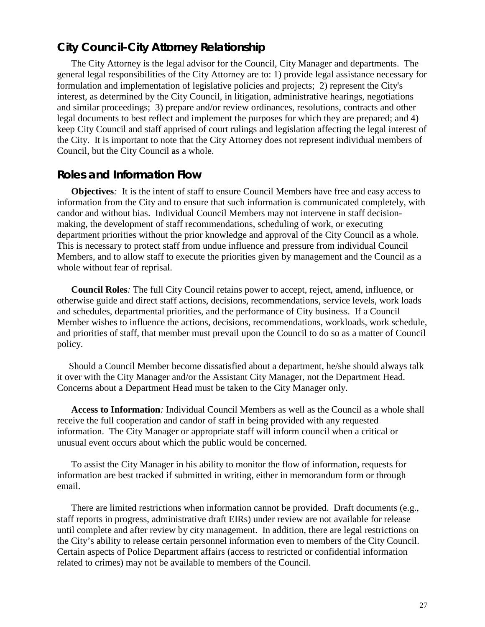## **City Council-City Attorney Relationship**

The City Attorney is the legal advisor for the Council, City Manager and departments. The general legal responsibilities of the City Attorney are to: 1) provide legal assistance necessary for formulation and implementation of legislative policies and projects; 2) represent the City's interest, as determined by the City Council, in litigation, administrative hearings, negotiations and similar proceedings; 3) prepare and/or review ordinances, resolutions, contracts and other legal documents to best reflect and implement the purposes for which they are prepared; and 4) keep City Council and staff apprised of court rulings and legislation affecting the legal interest of the City. It is important to note that the City Attorney does not represent individual members of Council, but the City Council as a whole.

### **Roles and Information Flow**

**Objectives***:* It is the intent of staff to ensure Council Members have free and easy access to information from the City and to ensure that such information is communicated completely, with candor and without bias. Individual Council Members may not intervene in staff decisionmaking, the development of staff recommendations, scheduling of work, or executing department priorities without the prior knowledge and approval of the City Council as a whole. This is necessary to protect staff from undue influence and pressure from individual Council Members, and to allow staff to execute the priorities given by management and the Council as a whole without fear of reprisal.

**Council Roles***:* The full City Council retains power to accept, reject, amend, influence, or otherwise guide and direct staff actions, decisions, recommendations, service levels, work loads and schedules, departmental priorities, and the performance of City business. If a Council Member wishes to influence the actions, decisions, recommendations, workloads, work schedule, and priorities of staff, that member must prevail upon the Council to do so as a matter of Council policy.

 Should a Council Member become dissatisfied about a department, he/she should always talk it over with the City Manager and/or the Assistant City Manager, not the Department Head. Concerns about a Department Head must be taken to the City Manager only.

**Access to Information***:* Individual Council Members as well as the Council as a whole shall receive the full cooperation and candor of staff in being provided with any requested information. The City Manager or appropriate staff will inform council when a critical or unusual event occurs about which the public would be concerned.

To assist the City Manager in his ability to monitor the flow of information, requests for information are best tracked if submitted in writing, either in memorandum form or through email.

There are limited restrictions when information cannot be provided. Draft documents (e.g., staff reports in progress, administrative draft EIRs) under review are not available for release until complete and after review by city management. In addition, there are legal restrictions on the City's ability to release certain personnel information even to members of the City Council. Certain aspects of Police Department affairs (access to restricted or confidential information related to crimes) may not be available to members of the Council.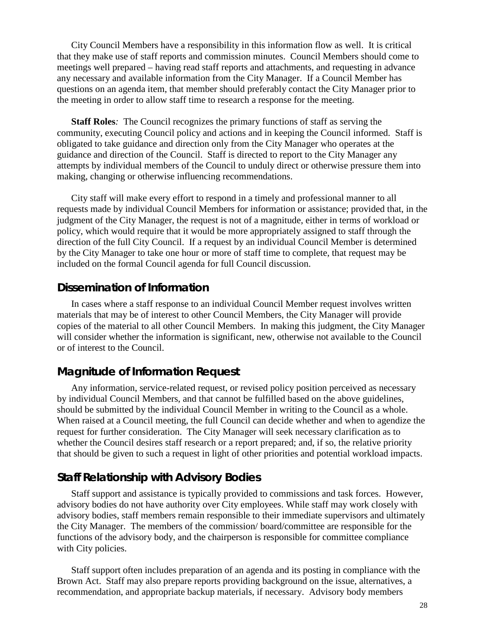City Council Members have a responsibility in this information flow as well. It is critical that they make use of staff reports and commission minutes. Council Members should come to meetings well prepared – having read staff reports and attachments, and requesting in advance any necessary and available information from the City Manager. If a Council Member has questions on an agenda item, that member should preferably contact the City Manager prior to the meeting in order to allow staff time to research a response for the meeting.

**Staff Roles***:* The Council recognizes the primary functions of staff as serving the community, executing Council policy and actions and in keeping the Council informed. Staff is obligated to take guidance and direction only from the City Manager who operates at the guidance and direction of the Council. Staff is directed to report to the City Manager any attempts by individual members of the Council to unduly direct or otherwise pressure them into making, changing or otherwise influencing recommendations.

City staff will make every effort to respond in a timely and professional manner to all requests made by individual Council Members for information or assistance; provided that, in the judgment of the City Manager, the request is not of a magnitude, either in terms of workload or policy, which would require that it would be more appropriately assigned to staff through the direction of the full City Council. If a request by an individual Council Member is determined by the City Manager to take one hour or more of staff time to complete, that request may be included on the formal Council agenda for full Council discussion.

### **Dissemination of Information**

In cases where a staff response to an individual Council Member request involves written materials that may be of interest to other Council Members, the City Manager will provide copies of the material to all other Council Members. In making this judgment, the City Manager will consider whether the information is significant, new, otherwise not available to the Council or of interest to the Council.

### **Magnitude of Information Request**

Any information, service-related request, or revised policy position perceived as necessary by individual Council Members, and that cannot be fulfilled based on the above guidelines, should be submitted by the individual Council Member in writing to the Council as a whole. When raised at a Council meeting, the full Council can decide whether and when to agendize the request for further consideration. The City Manager will seek necessary clarification as to whether the Council desires staff research or a report prepared; and, if so, the relative priority that should be given to such a request in light of other priorities and potential workload impacts.

#### **Staff Relationship with Advisory Bodies**

Staff support and assistance is typically provided to commissions and task forces. However, advisory bodies do not have authority over City employees. While staff may work closely with advisory bodies, staff members remain responsible to their immediate supervisors and ultimately the City Manager. The members of the commission/ board/committee are responsible for the functions of the advisory body, and the chairperson is responsible for committee compliance with City policies.

Staff support often includes preparation of an agenda and its posting in compliance with the Brown Act. Staff may also prepare reports providing background on the issue, alternatives, a recommendation, and appropriate backup materials, if necessary. Advisory body members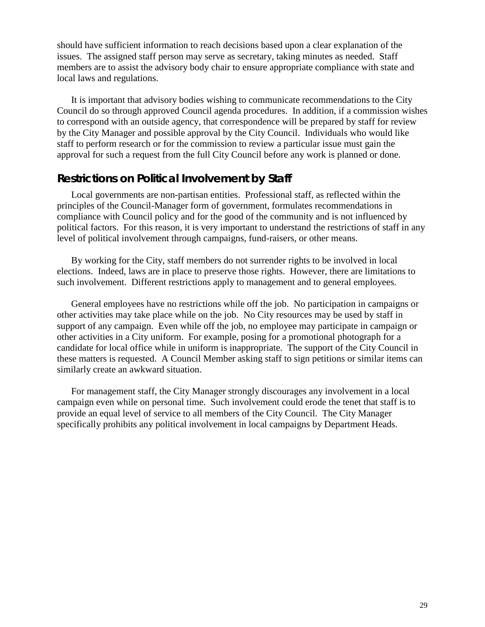should have sufficient information to reach decisions based upon a clear explanation of the issues. The assigned staff person may serve as secretary, taking minutes as needed. Staff members are to assist the advisory body chair to ensure appropriate compliance with state and local laws and regulations.

It is important that advisory bodies wishing to communicate recommendations to the City Council do so through approved Council agenda procedures. In addition, if a commission wishes to correspond with an outside agency, that correspondence will be prepared by staff for review by the City Manager and possible approval by the City Council. Individuals who would like staff to perform research or for the commission to review a particular issue must gain the approval for such a request from the full City Council before any work is planned or done.

#### **Restrictions on Political Involvement by Staff**

Local governments are non-partisan entities. Professional staff, as reflected within the principles of the Council-Manager form of government, formulates recommendations in compliance with Council policy and for the good of the community and is not influenced by political factors. For this reason, it is very important to understand the restrictions of staff in any level of political involvement through campaigns, fund-raisers, or other means.

By working for the City, staff members do not surrender rights to be involved in local elections. Indeed, laws are in place to preserve those rights. However, there are limitations to such involvement. Different restrictions apply to management and to general employees.

General employees have no restrictions while off the job. No participation in campaigns or other activities may take place while on the job. No City resources may be used by staff in support of any campaign. Even while off the job, no employee may participate in campaign or other activities in a City uniform. For example, posing for a promotional photograph for a candidate for local office while in uniform is inappropriate. The support of the City Council in these matters is requested. A Council Member asking staff to sign petitions or similar items can similarly create an awkward situation.

For management staff, the City Manager strongly discourages any involvement in a local campaign even while on personal time. Such involvement could erode the tenet that staff is to provide an equal level of service to all members of the City Council. The City Manager specifically prohibits any political involvement in local campaigns by Department Heads.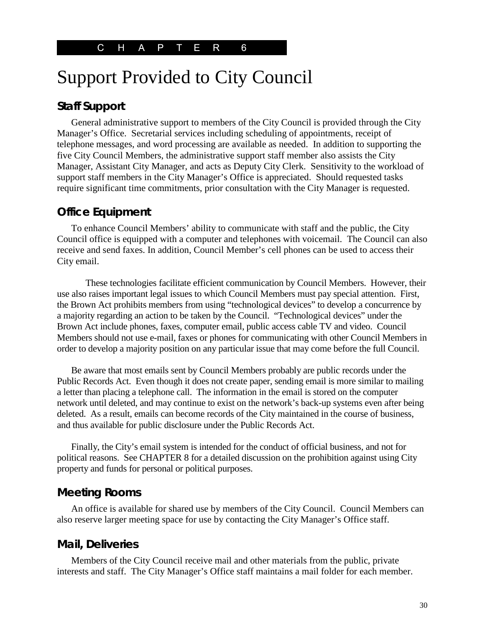## Support Provided to City Council

## **Staff Support**

General administrative support to members of the City Council is provided through the City Manager's Office. Secretarial services including scheduling of appointments, receipt of telephone messages, and word processing are available as needed. In addition to supporting the five City Council Members, the administrative support staff member also assists the City Manager, Assistant City Manager, and acts as Deputy City Clerk. Sensitivity to the workload of support staff members in the City Manager's Office is appreciated. Should requested tasks require significant time commitments, prior consultation with the City Manager is requested.

#### **Office Equipment**

To enhance Council Members' ability to communicate with staff and the public, the City Council office is equipped with a computer and telephones with voicemail. The Council can also receive and send faxes. In addition, Council Member's cell phones can be used to access their City email.

These technologies facilitate efficient communication by Council Members. However, their use also raises important legal issues to which Council Members must pay special attention. First, the Brown Act prohibits members from using "technological devices" to develop a concurrence by a majority regarding an action to be taken by the Council. "Technological devices" under the Brown Act include phones, faxes, computer email, public access cable TV and video. Council Members should not use e-mail, faxes or phones for communicating with other Council Members in order to develop a majority position on any particular issue that may come before the full Council.

Be aware that most emails sent by Council Members probably are public records under the Public Records Act. Even though it does not create paper, sending email is more similar to mailing a letter than placing a telephone call. The information in the email is stored on the computer network until deleted, and may continue to exist on the network's back-up systems even after being deleted. As a result, emails can become records of the City maintained in the course of business, and thus available for public disclosure under the Public Records Act.

Finally, the City's email system is intended for the conduct of official business, and not for political reasons. See CHAPTER 8 for a detailed discussion on the prohibition against using City property and funds for personal or political purposes.

#### **Meeting Rooms**

An office is available for shared use by members of the City Council. Council Members can also reserve larger meeting space for use by contacting the City Manager's Office staff.

#### **Mail, Deliveries**

Members of the City Council receive mail and other materials from the public, private interests and staff. The City Manager's Office staff maintains a mail folder for each member.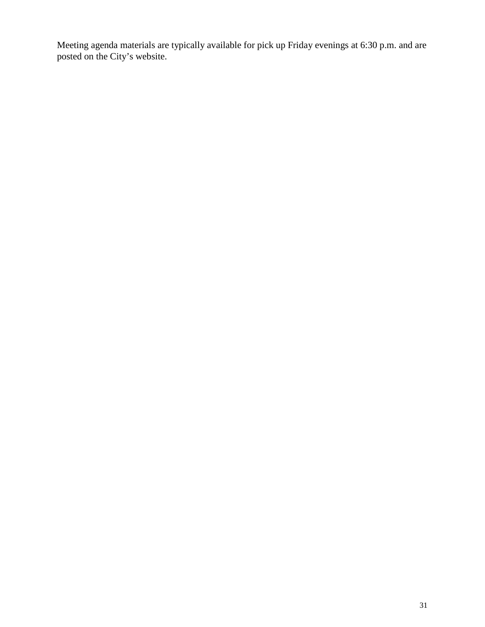Meeting agenda materials are typically available for pick up Friday evenings at 6:30 p.m. and are posted on the City's website.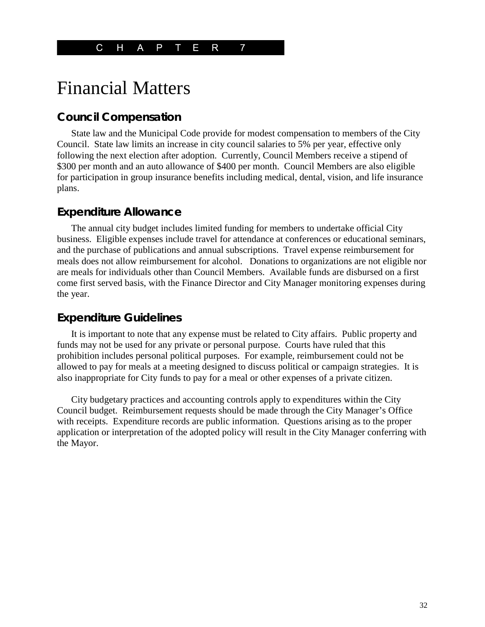## Financial Matters

## **Council Compensation**

State law and the Municipal Code provide for modest compensation to members of the City Council. State law limits an increase in city council salaries to 5% per year, effective only following the next election after adoption. Currently, Council Members receive a stipend of \$300 per month and an auto allowance of \$400 per month. Council Members are also eligible for participation in group insurance benefits including medical, dental, vision, and life insurance plans.

#### **Expenditure Allowance**

The annual city budget includes limited funding for members to undertake official City business. Eligible expenses include travel for attendance at conferences or educational seminars, and the purchase of publications and annual subscriptions. Travel expense reimbursement for meals does not allow reimbursement for alcohol. Donations to organizations are not eligible nor are meals for individuals other than Council Members. Available funds are disbursed on a first come first served basis, with the Finance Director and City Manager monitoring expenses during the year.

#### **Expenditure Guidelines**

It is important to note that any expense must be related to City affairs. Public property and funds may not be used for any private or personal purpose. Courts have ruled that this prohibition includes personal political purposes. For example, reimbursement could not be allowed to pay for meals at a meeting designed to discuss political or campaign strategies. It is also inappropriate for City funds to pay for a meal or other expenses of a private citizen.

City budgetary practices and accounting controls apply to expenditures within the City Council budget. Reimbursement requests should be made through the City Manager's Office with receipts. Expenditure records are public information. Questions arising as to the proper application or interpretation of the adopted policy will result in the City Manager conferring with the Mayor.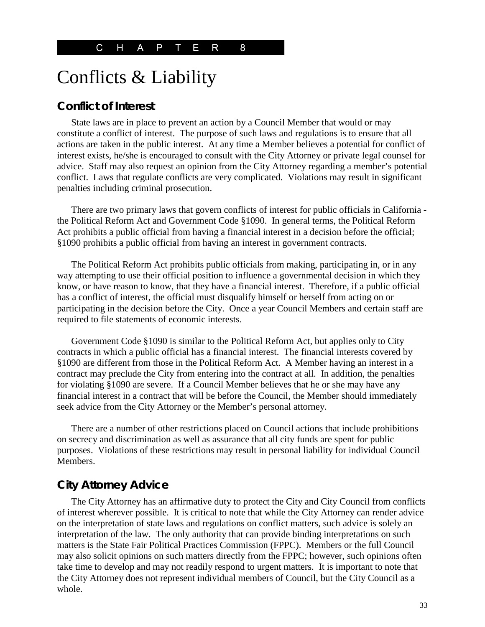## Conflicts & Liability

#### **Conflict of Interest**

State laws are in place to prevent an action by a Council Member that would or may constitute a conflict of interest. The purpose of such laws and regulations is to ensure that all actions are taken in the public interest. At any time a Member believes a potential for conflict of interest exists, he/she is encouraged to consult with the City Attorney or private legal counsel for advice. Staff may also request an opinion from the City Attorney regarding a member's potential conflict. Laws that regulate conflicts are very complicated. Violations may result in significant penalties including criminal prosecution.

There are two primary laws that govern conflicts of interest for public officials in California the Political Reform Act and Government Code §1090. In general terms, the Political Reform Act prohibits a public official from having a financial interest in a decision before the official; §1090 prohibits a public official from having an interest in government contracts.

The Political Reform Act prohibits public officials from making, participating in, or in any way attempting to use their official position to influence a governmental decision in which they know, or have reason to know, that they have a financial interest. Therefore, if a public official has a conflict of interest, the official must disqualify himself or herself from acting on or participating in the decision before the City. Once a year Council Members and certain staff are required to file statements of economic interests.

Government Code §1090 is similar to the Political Reform Act, but applies only to City contracts in which a public official has a financial interest. The financial interests covered by §1090 are different from those in the Political Reform Act. A Member having an interest in a contract may preclude the City from entering into the contract at all. In addition, the penalties for violating §1090 are severe. If a Council Member believes that he or she may have any financial interest in a contract that will be before the Council, the Member should immediately seek advice from the City Attorney or the Member's personal attorney.

There are a number of other restrictions placed on Council actions that include prohibitions on secrecy and discrimination as well as assurance that all city funds are spent for public purposes. Violations of these restrictions may result in personal liability for individual Council Members.

## **City Attorney Advice**

The City Attorney has an affirmative duty to protect the City and City Council from conflicts of interest wherever possible. It is critical to note that while the City Attorney can render advice on the interpretation of state laws and regulations on conflict matters, such advice is solely an interpretation of the law. The only authority that can provide binding interpretations on such matters is the State Fair Political Practices Commission (FPPC). Members or the full Council may also solicit opinions on such matters directly from the FPPC; however, such opinions often take time to develop and may not readily respond to urgent matters. It is important to note that the City Attorney does not represent individual members of Council, but the City Council as a whole.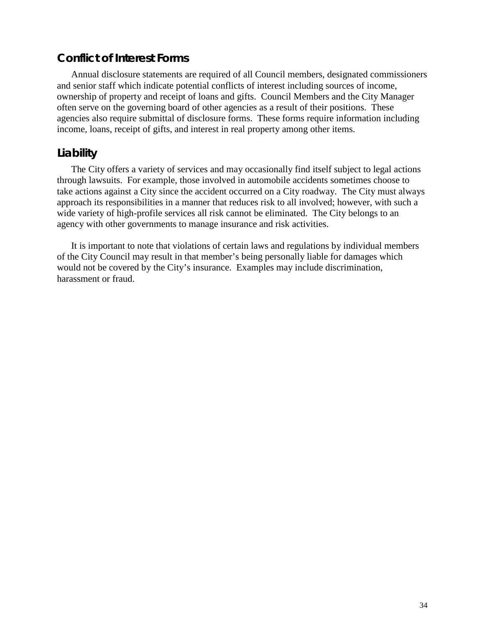## **Conflict of Interest Forms**

Annual disclosure statements are required of all Council members, designated commissioners and senior staff which indicate potential conflicts of interest including sources of income, ownership of property and receipt of loans and gifts. Council Members and the City Manager often serve on the governing board of other agencies as a result of their positions. These agencies also require submittal of disclosure forms. These forms require information including income, loans, receipt of gifts, and interest in real property among other items.

## **Liability**

The City offers a variety of services and may occasionally find itself subject to legal actions through lawsuits. For example, those involved in automobile accidents sometimes choose to take actions against a City since the accident occurred on a City roadway. The City must always approach its responsibilities in a manner that reduces risk to all involved; however, with such a wide variety of high-profile services all risk cannot be eliminated. The City belongs to an agency with other governments to manage insurance and risk activities.

It is important to note that violations of certain laws and regulations by individual members of the City Council may result in that member's being personally liable for damages which would not be covered by the City's insurance. Examples may include discrimination, harassment or fraud.